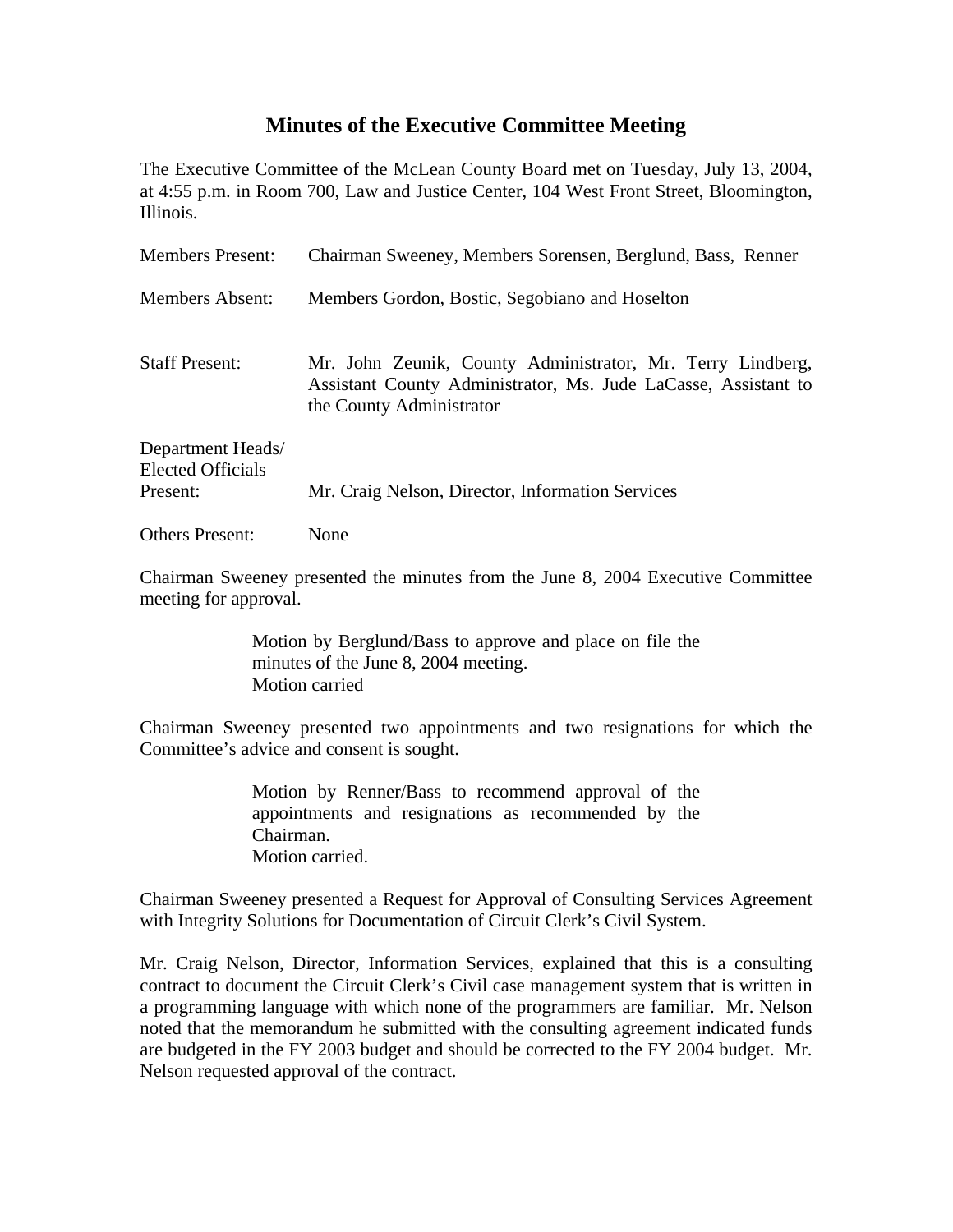## **Minutes of the Executive Committee Meeting**

The Executive Committee of the McLean County Board met on Tuesday, July 13, 2004, at 4:55 p.m. in Room 700, Law and Justice Center, 104 West Front Street, Bloomington, Illinois.

| <b>Members Present:</b>                                   | Chairman Sweeney, Members Sorensen, Berglund, Bass, Renner                                                                                               |
|-----------------------------------------------------------|----------------------------------------------------------------------------------------------------------------------------------------------------------|
| <b>Members Absent:</b>                                    | Members Gordon, Bostic, Segobiano and Hoselton                                                                                                           |
| <b>Staff Present:</b>                                     | Mr. John Zeunik, County Administrator, Mr. Terry Lindberg,<br>Assistant County Administrator, Ms. Jude LaCasse, Assistant to<br>the County Administrator |
| Department Heads/<br><b>Elected Officials</b><br>Present: | Mr. Craig Nelson, Director, Information Services                                                                                                         |
| <b>Others Present:</b>                                    | None                                                                                                                                                     |

Chairman Sweeney presented the minutes from the June 8, 2004 Executive Committee meeting for approval.

> Motion by Berglund/Bass to approve and place on file the minutes of the June 8, 2004 meeting. Motion carried

Chairman Sweeney presented two appointments and two resignations for which the Committee's advice and consent is sought.

> Motion by Renner/Bass to recommend approval of the appointments and resignations as recommended by the Chairman. Motion carried.

Chairman Sweeney presented a Request for Approval of Consulting Services Agreement with Integrity Solutions for Documentation of Circuit Clerk's Civil System.

Mr. Craig Nelson, Director, Information Services, explained that this is a consulting contract to document the Circuit Clerk's Civil case management system that is written in a programming language with which none of the programmers are familiar. Mr. Nelson noted that the memorandum he submitted with the consulting agreement indicated funds are budgeted in the FY 2003 budget and should be corrected to the FY 2004 budget. Mr. Nelson requested approval of the contract.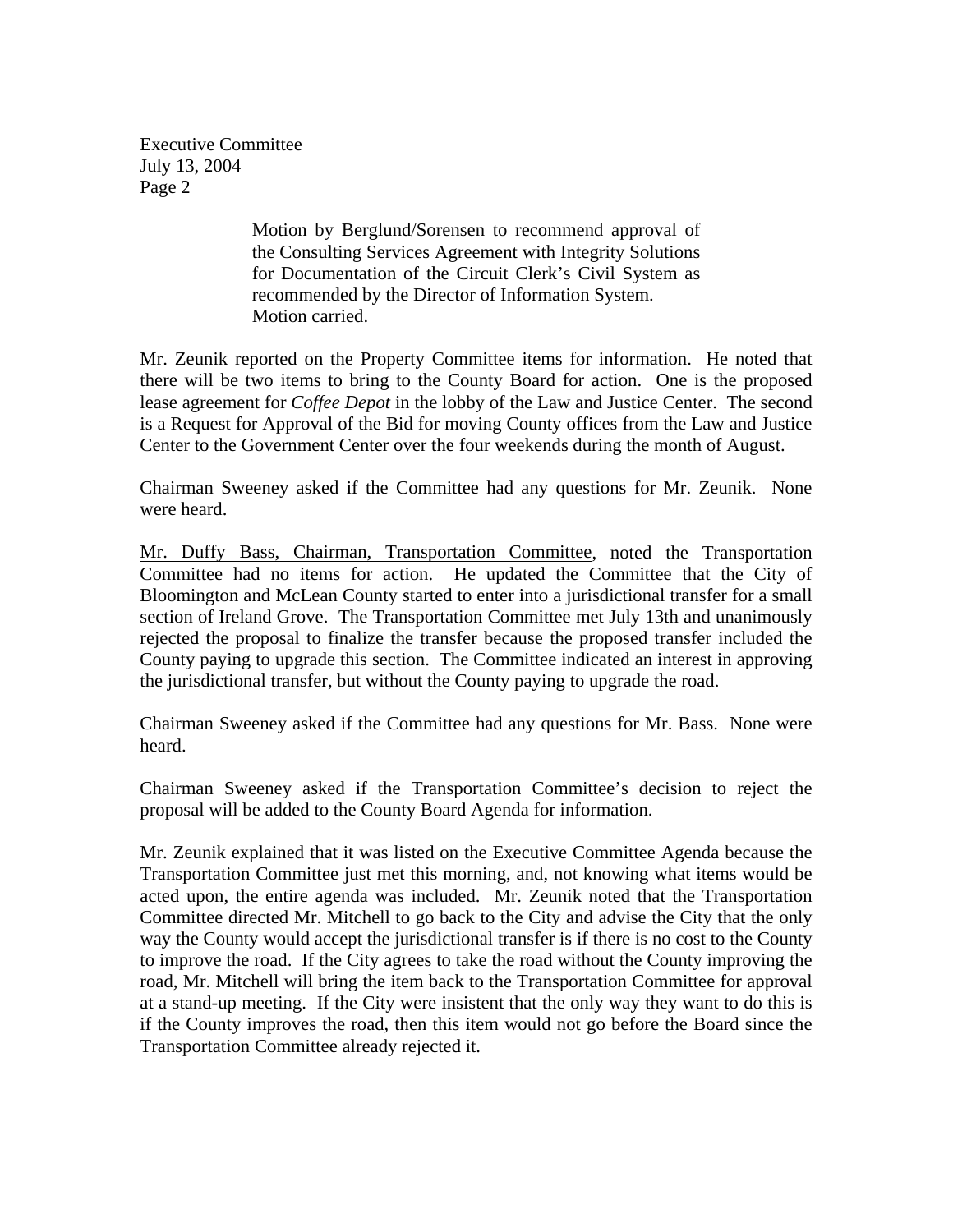> Motion by Berglund/Sorensen to recommend approval of the Consulting Services Agreement with Integrity Solutions for Documentation of the Circuit Clerk's Civil System as recommended by the Director of Information System. Motion carried.

Mr. Zeunik reported on the Property Committee items for information. He noted that there will be two items to bring to the County Board for action. One is the proposed lease agreement for *Coffee Depot* in the lobby of the Law and Justice Center. The second is a Request for Approval of the Bid for moving County offices from the Law and Justice Center to the Government Center over the four weekends during the month of August.

Chairman Sweeney asked if the Committee had any questions for Mr. Zeunik. None were heard.

Mr. Duffy Bass, Chairman, Transportation Committee, noted the Transportation Committee had no items for action. He updated the Committee that the City of Bloomington and McLean County started to enter into a jurisdictional transfer for a small section of Ireland Grove. The Transportation Committee met July 13th and unanimously rejected the proposal to finalize the transfer because the proposed transfer included the County paying to upgrade this section. The Committee indicated an interest in approving the jurisdictional transfer, but without the County paying to upgrade the road.

Chairman Sweeney asked if the Committee had any questions for Mr. Bass. None were heard.

Chairman Sweeney asked if the Transportation Committee's decision to reject the proposal will be added to the County Board Agenda for information.

Mr. Zeunik explained that it was listed on the Executive Committee Agenda because the Transportation Committee just met this morning, and, not knowing what items would be acted upon, the entire agenda was included. Mr. Zeunik noted that the Transportation Committee directed Mr. Mitchell to go back to the City and advise the City that the only way the County would accept the jurisdictional transfer is if there is no cost to the County to improve the road. If the City agrees to take the road without the County improving the road, Mr. Mitchell will bring the item back to the Transportation Committee for approval at a stand-up meeting. If the City were insistent that the only way they want to do this is if the County improves the road, then this item would not go before the Board since the Transportation Committee already rejected it.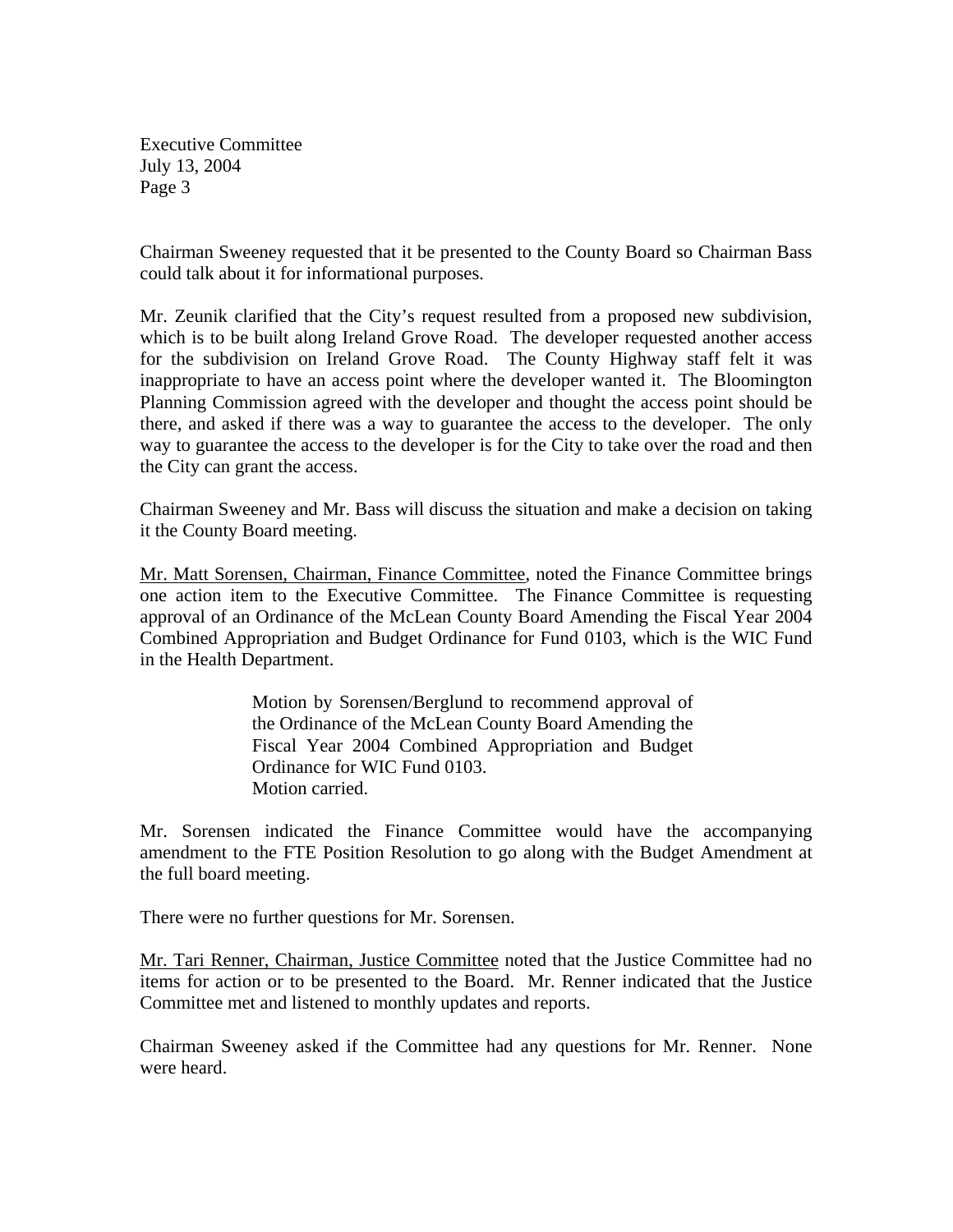Chairman Sweeney requested that it be presented to the County Board so Chairman Bass could talk about it for informational purposes.

Mr. Zeunik clarified that the City's request resulted from a proposed new subdivision, which is to be built along Ireland Grove Road. The developer requested another access for the subdivision on Ireland Grove Road. The County Highway staff felt it was inappropriate to have an access point where the developer wanted it. The Bloomington Planning Commission agreed with the developer and thought the access point should be there, and asked if there was a way to guarantee the access to the developer. The only way to guarantee the access to the developer is for the City to take over the road and then the City can grant the access.

Chairman Sweeney and Mr. Bass will discuss the situation and make a decision on taking it the County Board meeting.

Mr. Matt Sorensen, Chairman, Finance Committee, noted the Finance Committee brings one action item to the Executive Committee. The Finance Committee is requesting approval of an Ordinance of the McLean County Board Amending the Fiscal Year 2004 Combined Appropriation and Budget Ordinance for Fund 0103, which is the WIC Fund in the Health Department.

> Motion by Sorensen/Berglund to recommend approval of the Ordinance of the McLean County Board Amending the Fiscal Year 2004 Combined Appropriation and Budget Ordinance for WIC Fund 0103. Motion carried.

Mr. Sorensen indicated the Finance Committee would have the accompanying amendment to the FTE Position Resolution to go along with the Budget Amendment at the full board meeting.

There were no further questions for Mr. Sorensen.

Mr. Tari Renner, Chairman, Justice Committee noted that the Justice Committee had no items for action or to be presented to the Board. Mr. Renner indicated that the Justice Committee met and listened to monthly updates and reports.

Chairman Sweeney asked if the Committee had any questions for Mr. Renner. None were heard.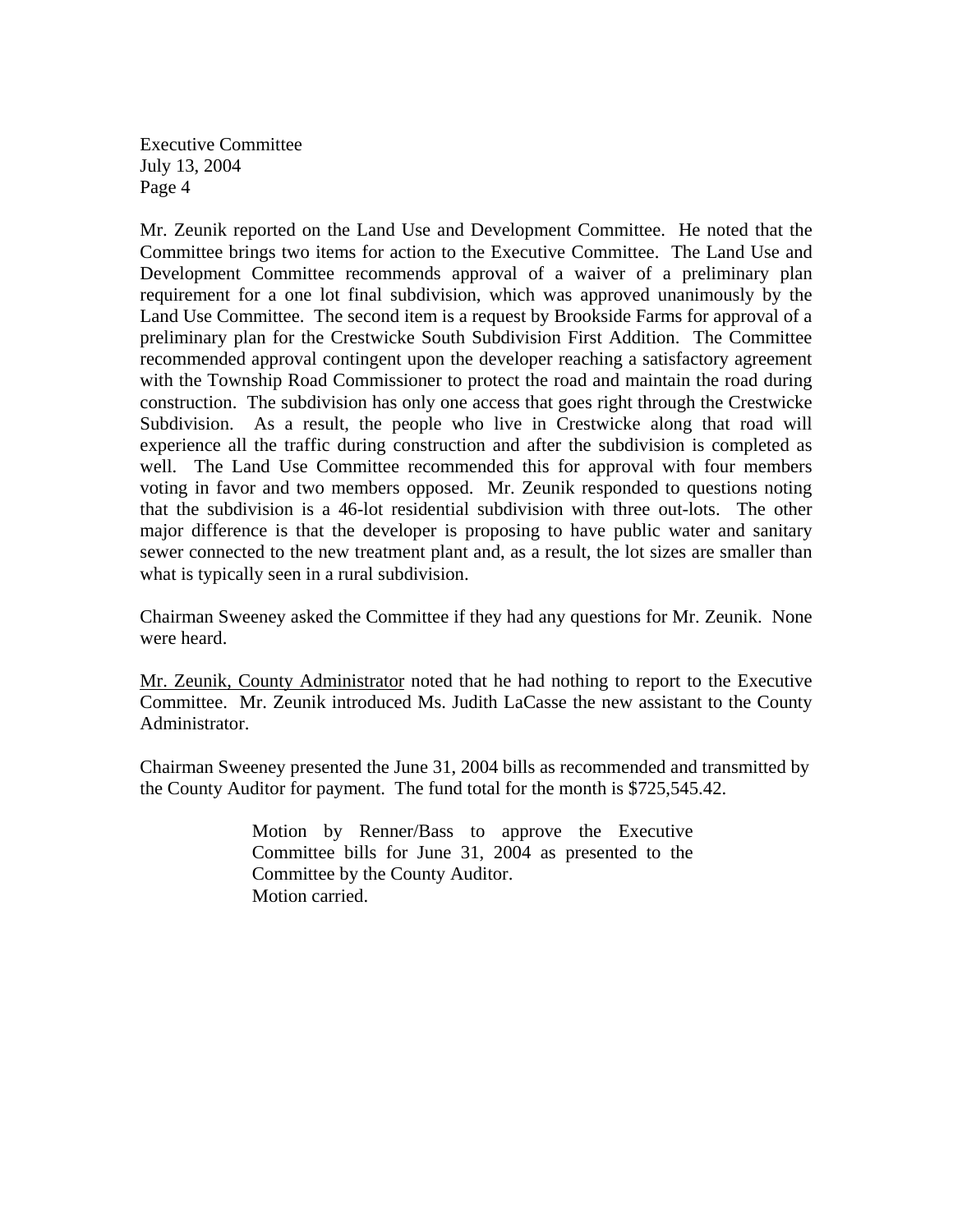Mr. Zeunik reported on the Land Use and Development Committee. He noted that the Committee brings two items for action to the Executive Committee. The Land Use and Development Committee recommends approval of a waiver of a preliminary plan requirement for a one lot final subdivision, which was approved unanimously by the Land Use Committee. The second item is a request by Brookside Farms for approval of a preliminary plan for the Crestwicke South Subdivision First Addition. The Committee recommended approval contingent upon the developer reaching a satisfactory agreement with the Township Road Commissioner to protect the road and maintain the road during construction. The subdivision has only one access that goes right through the Crestwicke Subdivision. As a result, the people who live in Crestwicke along that road will experience all the traffic during construction and after the subdivision is completed as well. The Land Use Committee recommended this for approval with four members voting in favor and two members opposed. Mr. Zeunik responded to questions noting that the subdivision is a 46-lot residential subdivision with three out-lots. The other major difference is that the developer is proposing to have public water and sanitary sewer connected to the new treatment plant and, as a result, the lot sizes are smaller than what is typically seen in a rural subdivision.

Chairman Sweeney asked the Committee if they had any questions for Mr. Zeunik. None were heard.

Mr. Zeunik, County Administrator noted that he had nothing to report to the Executive Committee. Mr. Zeunik introduced Ms. Judith LaCasse the new assistant to the County Administrator.

Chairman Sweeney presented the June 31, 2004 bills as recommended and transmitted by the County Auditor for payment. The fund total for the month is \$725,545.42.

> Motion by Renner/Bass to approve the Executive Committee bills for June 31, 2004 as presented to the Committee by the County Auditor. Motion carried.